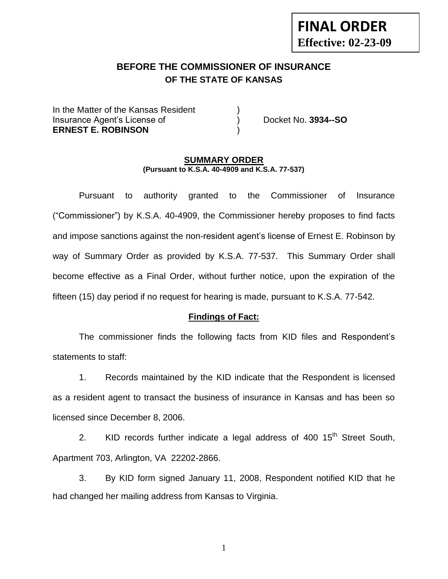## **BEFORE THE COMMISSIONER OF INSURANCE OF THE STATE OF KANSAS**

In the Matter of the Kansas Resident Insurance Agent's License of ) Docket No. **3934--SO ERNEST E. ROBINSON** )

**FINAL ORDER**

**Effective: 02-23-09**

#### **SUMMARY ORDER (Pursuant to K.S.A. 40-4909 and K.S.A. 77-537)**

Pursuant to authority granted to the Commissioner of Insurance ("Commissioner") by K.S.A. 40-4909, the Commissioner hereby proposes to find facts and impose sanctions against the non-resident agent's license of Ernest E. Robinson by way of Summary Order as provided by K.S.A. 77-537. This Summary Order shall become effective as a Final Order, without further notice, upon the expiration of the fifteen (15) day period if no request for hearing is made, pursuant to K.S.A. 77-542.

#### **Findings of Fact:**

The commissioner finds the following facts from KID files and Respondent's statements to staff:

1. Records maintained by the KID indicate that the Respondent is licensed as a resident agent to transact the business of insurance in Kansas and has been so licensed since December 8, 2006.

2. KID records further indicate a legal address of 400  $15<sup>th</sup>$  Street South, Apartment 703, Arlington, VA 22202-2866.

3. By KID form signed January 11, 2008, Respondent notified KID that he had changed her mailing address from Kansas to Virginia.

1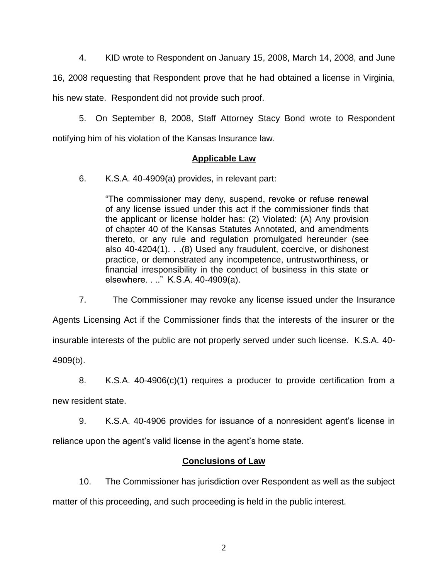4. KID wrote to Respondent on January 15, 2008, March 14, 2008, and June

16, 2008 requesting that Respondent prove that he had obtained a license in Virginia, his new state. Respondent did not provide such proof.

5. On September 8, 2008, Staff Attorney Stacy Bond wrote to Respondent notifying him of his violation of the Kansas Insurance law.

### **Applicable Law**

6. K.S.A. 40-4909(a) provides, in relevant part:

"The commissioner may deny, suspend, revoke or refuse renewal of any license issued under this act if the commissioner finds that the applicant or license holder has: (2) Violated: (A) Any provision of chapter 40 of the Kansas Statutes Annotated, and amendments thereto, or any rule and regulation promulgated hereunder (see also 40-4204(1). . .(8) Used any fraudulent, coercive, or dishonest practice, or demonstrated any incompetence, untrustworthiness, or financial irresponsibility in the conduct of business in this state or elsewhere. . .." K.S.A. 40-4909(a).

7. The Commissioner may revoke any license issued under the Insurance

Agents Licensing Act if the Commissioner finds that the interests of the insurer or the insurable interests of the public are not properly served under such license. K.S.A. 40- 4909(b).

8. K.S.A. 40-4906(c)(1) requires a producer to provide certification from a

new resident state.

9. K.S.A. 40-4906 provides for issuance of a nonresident agent's license in

reliance upon the agent's valid license in the agent's home state.

### **Conclusions of Law**

10. The Commissioner has jurisdiction over Respondent as well as the subject matter of this proceeding, and such proceeding is held in the public interest.

2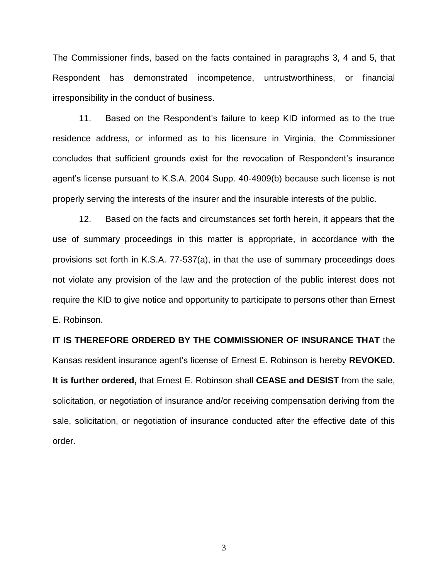The Commissioner finds, based on the facts contained in paragraphs 3, 4 and 5, that Respondent has demonstrated incompetence, untrustworthiness, or financial irresponsibility in the conduct of business.

11. Based on the Respondent's failure to keep KID informed as to the true residence address, or informed as to his licensure in Virginia, the Commissioner concludes that sufficient grounds exist for the revocation of Respondent's insurance agent's license pursuant to K.S.A. 2004 Supp. 40-4909(b) because such license is not properly serving the interests of the insurer and the insurable interests of the public.

12. Based on the facts and circumstances set forth herein, it appears that the use of summary proceedings in this matter is appropriate, in accordance with the provisions set forth in K.S.A. 77-537(a), in that the use of summary proceedings does not violate any provision of the law and the protection of the public interest does not require the KID to give notice and opportunity to participate to persons other than Ernest E. Robinson.

# **IT IS THEREFORE ORDERED BY THE COMMISSIONER OF INSURANCE THAT** the Kansas resident insurance agent's license of Ernest E. Robinson is hereby **REVOKED. It is further ordered,** that Ernest E. Robinson shall **CEASE and DESIST** from the sale, solicitation, or negotiation of insurance and/or receiving compensation deriving from the sale, solicitation, or negotiation of insurance conducted after the effective date of this order.

3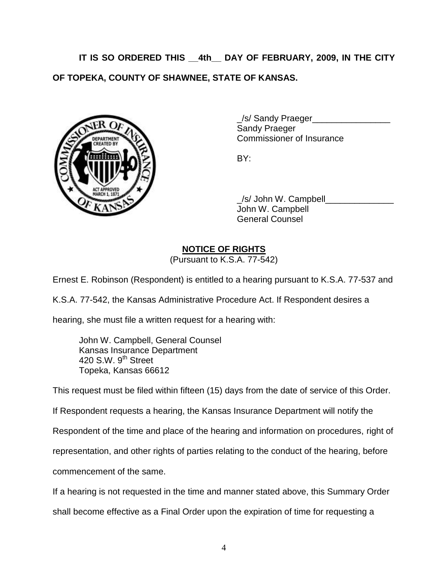**IT IS SO ORDERED THIS \_\_4th\_\_ DAY OF FEBRUARY, 2009, IN THE CITY OF TOPEKA, COUNTY OF SHAWNEE, STATE OF KANSAS.**



\_/s/ Sandy Praeger\_\_\_\_\_\_\_\_\_\_\_\_\_\_\_\_ Sandy Praeger Commissioner of Insurance

BY:

\_/s/ John W. Campbell\_\_\_\_\_\_\_\_\_\_\_\_\_\_ John W. Campbell General Counsel

## **NOTICE OF RIGHTS**

(Pursuant to K.S.A. 77-542)

Ernest E. Robinson (Respondent) is entitled to a hearing pursuant to K.S.A. 77-537 and

K.S.A. 77-542, the Kansas Administrative Procedure Act. If Respondent desires a

hearing, she must file a written request for a hearing with:

John W. Campbell, General Counsel Kansas Insurance Department 420 S.W. 9<sup>th</sup> Street Topeka, Kansas 66612

This request must be filed within fifteen (15) days from the date of service of this Order.

If Respondent requests a hearing, the Kansas Insurance Department will notify the

Respondent of the time and place of the hearing and information on procedures, right of

representation, and other rights of parties relating to the conduct of the hearing, before

commencement of the same.

If a hearing is not requested in the time and manner stated above, this Summary Order

shall become effective as a Final Order upon the expiration of time for requesting a